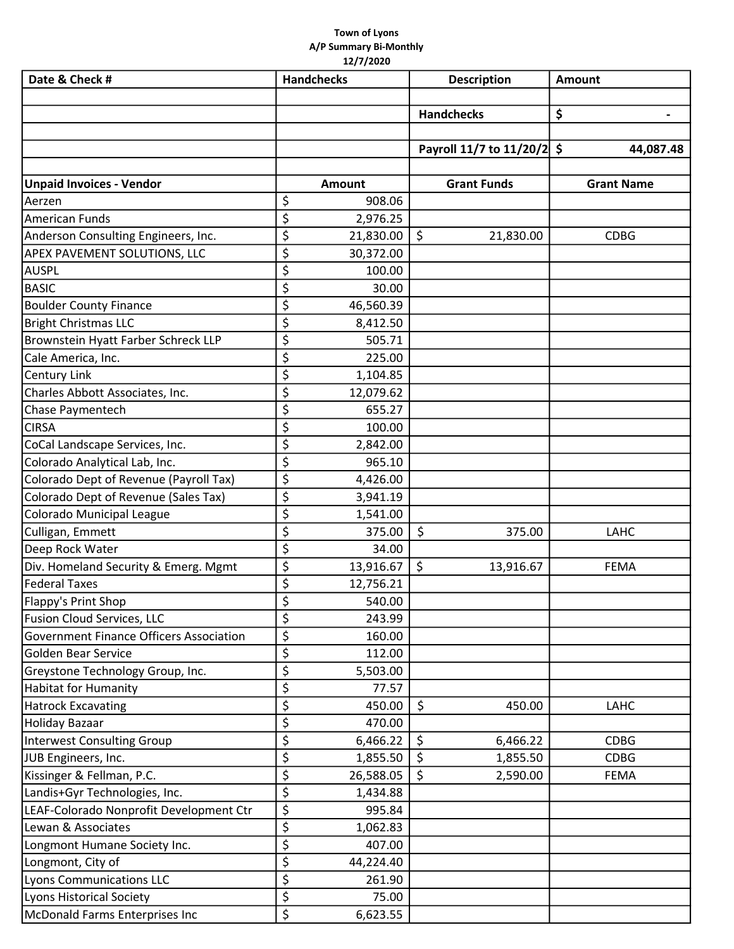## Town of Lyons A/P Summary Bi-Monthly 12/7/2020

| Date & Check #                          | <b>Handchecks</b> |           | <b>Description</b> |                         | Amount            |           |
|-----------------------------------------|-------------------|-----------|--------------------|-------------------------|-------------------|-----------|
|                                         |                   |           |                    |                         |                   |           |
|                                         |                   |           | <b>Handchecks</b>  |                         | \$                |           |
|                                         |                   |           |                    |                         |                   |           |
|                                         |                   |           |                    | Payroll 11/7 to 11/20/2 | \$                | 44,087.48 |
| <b>Unpaid Invoices - Vendor</b>         |                   | Amount    |                    | <b>Grant Funds</b>      | <b>Grant Name</b> |           |
| Aerzen                                  | \$                | 908.06    |                    |                         |                   |           |
| American Funds                          | \$                | 2,976.25  |                    |                         |                   |           |
| Anderson Consulting Engineers, Inc.     | \$                | 21,830.00 | \$                 | 21,830.00               | <b>CDBG</b>       |           |
| APEX PAVEMENT SOLUTIONS, LLC            | \$                | 30,372.00 |                    |                         |                   |           |
| AUSPL                                   | \$                | 100.00    |                    |                         |                   |           |
| <b>BASIC</b>                            | \$                | 30.00     |                    |                         |                   |           |
| <b>Boulder County Finance</b>           | \$                | 46,560.39 |                    |                         |                   |           |
| <b>Bright Christmas LLC</b>             | \$                | 8,412.50  |                    |                         |                   |           |
| Brownstein Hyatt Farber Schreck LLP     | \$                | 505.71    |                    |                         |                   |           |
| Cale America, Inc.                      | \$                | 225.00    |                    |                         |                   |           |
| Century Link                            | \$                | 1,104.85  |                    |                         |                   |           |
| Charles Abbott Associates, Inc.         | \$                | 12,079.62 |                    |                         |                   |           |
|                                         | \$                | 655.27    |                    |                         |                   |           |
| Chase Paymentech<br><b>CIRSA</b>        |                   |           |                    |                         |                   |           |
|                                         | \$                | 100.00    |                    |                         |                   |           |
| CoCal Landscape Services, Inc.          | \$                | 2,842.00  |                    |                         |                   |           |
| Colorado Analytical Lab, Inc.           | \$                | 965.10    |                    |                         |                   |           |
| Colorado Dept of Revenue (Payroll Tax)  | \$                | 4,426.00  |                    |                         |                   |           |
| Colorado Dept of Revenue (Sales Tax)    | \$                | 3,941.19  |                    |                         |                   |           |
| Colorado Municipal League               | \$                | 1,541.00  |                    |                         |                   |           |
| Culligan, Emmett                        | \$                | 375.00    | \$                 | 375.00                  | LAHC              |           |
| Deep Rock Water                         | \$                | 34.00     |                    |                         |                   |           |
| Div. Homeland Security & Emerg. Mgmt    | \$                | 13,916.67 | \$                 | 13,916.67               | <b>FEMA</b>       |           |
| <b>Federal Taxes</b>                    | \$<br>¢           | 12,756.21 |                    |                         |                   |           |
| Flappy's Print Shop                     |                   | 540.00    |                    |                         |                   |           |
| <b>Fusion Cloud Services, LLC</b>       | \$                | 243.99    |                    |                         |                   |           |
| Government Finance Officers Association | \$                | 160.00    |                    |                         |                   |           |
| Golden Bear Service                     | \$                | 112.00    |                    |                         |                   |           |
| Greystone Technology Group, Inc.        | \$                | 5,503.00  |                    |                         |                   |           |
| Habitat for Humanity                    | \$                | 77.57     |                    |                         |                   |           |
| <b>Hatrock Excavating</b>               | \$                | 450.00    | \$                 | 450.00                  | LAHC              |           |
| Holiday Bazaar                          | \$                | 470.00    |                    |                         |                   |           |
| <b>Interwest Consulting Group</b>       | \$                | 6,466.22  | \$                 | 6,466.22                | <b>CDBG</b>       |           |
| JUB Engineers, Inc.                     | \$                | 1,855.50  |                    | 1,855.50                | <b>CDBG</b>       |           |
| Kissinger & Fellman, P.C.               | \$                | 26,588.05 | \$                 | 2,590.00                | <b>FEMA</b>       |           |
| Landis+Gyr Technologies, Inc.           | \$                | 1,434.88  |                    |                         |                   |           |
| LEAF-Colorado Nonprofit Development Ctr | \$                | 995.84    |                    |                         |                   |           |
| Lewan & Associates                      | \$                | 1,062.83  |                    |                         |                   |           |
| Longmont Humane Society Inc.            | \$                | 407.00    |                    |                         |                   |           |
| Longmont, City of                       | \$                | 44,224.40 |                    |                         |                   |           |
| <b>Lyons Communications LLC</b>         | \$                | 261.90    |                    |                         |                   |           |
| Lyons Historical Society                | \$                | 75.00     |                    |                         |                   |           |
| McDonald Farms Enterprises Inc          | \$                | 6,623.55  |                    |                         |                   |           |